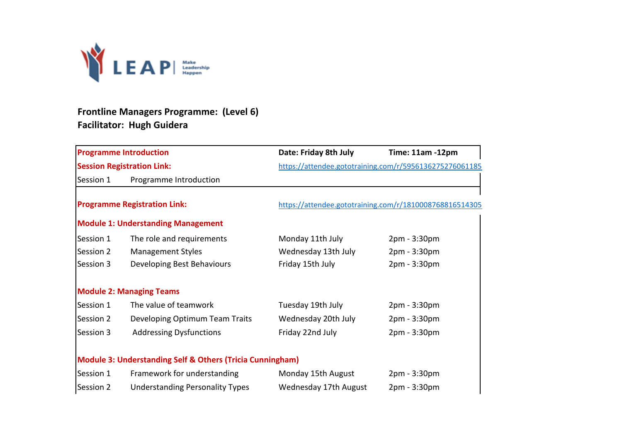

## **Frontline Managers Programme: (Level 6) Facilitator: Hugh Guidera**

| <b>Programme Introduction</b>                                        |                                           | Date: Friday 8th July                                   | Time: 11am -12pm                                        |  |
|----------------------------------------------------------------------|-------------------------------------------|---------------------------------------------------------|---------------------------------------------------------|--|
|                                                                      | <b>Session Registration Link:</b>         | https://attendee.gototraining.com/r/5956136275276061185 |                                                         |  |
| Session 1                                                            | Programme Introduction                    |                                                         |                                                         |  |
|                                                                      |                                           |                                                         | https://attendee.gototraining.com/r/1810008768816514305 |  |
| <b>Programme Registration Link:</b>                                  |                                           |                                                         |                                                         |  |
|                                                                      | <b>Module 1: Understanding Management</b> |                                                         |                                                         |  |
| Session 1                                                            | The role and requirements                 | Monday 11th July                                        | 2pm - 3:30pm                                            |  |
| Session 2                                                            | <b>Management Styles</b>                  | Wednesday 13th July                                     | 2pm - 3:30pm                                            |  |
| Session 3                                                            | Developing Best Behaviours                | Friday 15th July                                        | 2pm - 3:30pm                                            |  |
|                                                                      | <b>Module 2: Managing Teams</b>           |                                                         |                                                         |  |
| Session 1                                                            | The value of teamwork                     | Tuesday 19th July                                       | 2pm - 3:30pm                                            |  |
| Session 2                                                            | Developing Optimum Team Traits            | Wednesday 20th July                                     | 2pm - 3:30pm                                            |  |
| Session 3                                                            | <b>Addressing Dysfunctions</b>            | Friday 22nd July                                        | 2pm - 3:30pm                                            |  |
|                                                                      |                                           |                                                         |                                                         |  |
| <b>Module 3: Understanding Self &amp; Others (Tricia Cunningham)</b> |                                           |                                                         |                                                         |  |
| Session 1                                                            | Framework for understanding               | Monday 15th August                                      | 2pm - 3:30pm                                            |  |
| Session 2                                                            | <b>Understanding Personality Types</b>    | Wednesday 17th August                                   | 2pm - 3:30pm                                            |  |